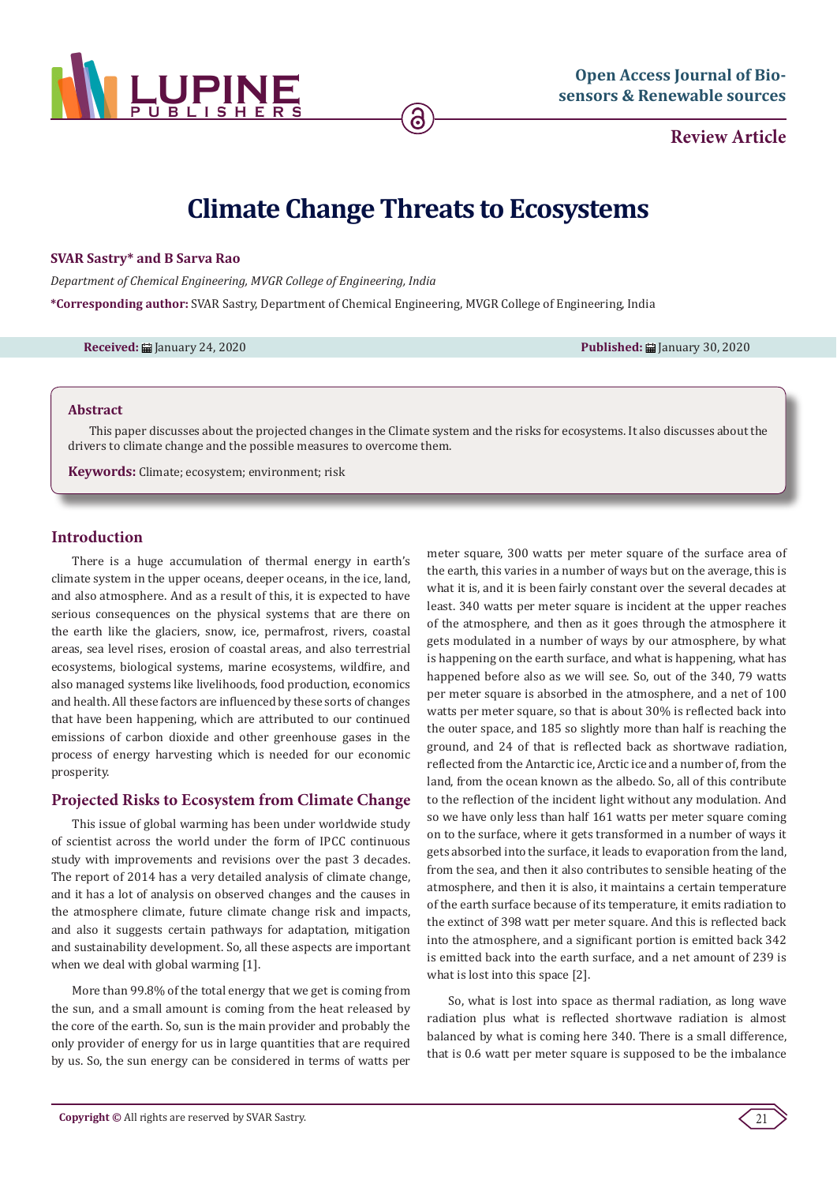

**Review Article**

# **Climate Change Threats to Ecosystems**

## **SVAR Sastry\* and B Sarva Rao**

*Department of Chemical Engineering, MVGR College of Engineering, India*

**\*Corresponding author:** SVAR Sastry, Department of Chemical Engineering, MVGR College of Engineering, India

**Received:** January 24, 2020 **Published:** January 30, 2020

#### **Abstract**

This paper discusses about the projected changes in the Climate system and the risks for ecosystems. It also discusses about the drivers to climate change and the possible measures to overcome them.

**Keywords:** Climate; ecosystem; environment; risk

### **Introduction**

There is a huge accumulation of thermal energy in earth's climate system in the upper oceans, deeper oceans, in the ice, land, and also atmosphere. And as a result of this, it is expected to have serious consequences on the physical systems that are there on the earth like the glaciers, snow, ice, permafrost, rivers, coastal areas, sea level rises, erosion of coastal areas, and also terrestrial ecosystems, biological systems, marine ecosystems, wildfire, and also managed systems like livelihoods, food production, economics and health. All these factors are influenced by these sorts of changes that have been happening, which are attributed to our continued emissions of carbon dioxide and other greenhouse gases in the process of energy harvesting which is needed for our economic prosperity.

## **Projected Risks to Ecosystem from Climate Change**

This issue of global warming has been under worldwide study of scientist across the world under the form of IPCC continuous study with improvements and revisions over the past 3 decades. The report of 2014 has a very detailed analysis of climate change, and it has a lot of analysis on observed changes and the causes in the atmosphere climate, future climate change risk and impacts, and also it suggests certain pathways for adaptation, mitigation and sustainability development. So, all these aspects are important when we deal with global warming [1].

More than 99.8% of the total energy that we get is coming from the sun, and a small amount is coming from the heat released by the core of the earth. So, sun is the main provider and probably the only provider of energy for us in large quantities that are required by us. So, the sun energy can be considered in terms of watts per meter square, 300 watts per meter square of the surface area of the earth, this varies in a number of ways but on the average, this is what it is, and it is been fairly constant over the several decades at least. 340 watts per meter square is incident at the upper reaches of the atmosphere, and then as it goes through the atmosphere it gets modulated in a number of ways by our atmosphere, by what is happening on the earth surface, and what is happening, what has happened before also as we will see. So, out of the 340, 79 watts per meter square is absorbed in the atmosphere, and a net of 100 watts per meter square, so that is about 30% is reflected back into the outer space, and 185 so slightly more than half is reaching the ground, and 24 of that is reflected back as shortwave radiation, reflected from the Antarctic ice, Arctic ice and a number of, from the land, from the ocean known as the albedo. So, all of this contribute to the reflection of the incident light without any modulation. And so we have only less than half 161 watts per meter square coming on to the surface, where it gets transformed in a number of ways it gets absorbed into the surface, it leads to evaporation from the land, from the sea, and then it also contributes to sensible heating of the atmosphere, and then it is also, it maintains a certain temperature of the earth surface because of its temperature, it emits radiation to the extinct of 398 watt per meter square. And this is reflected back into the atmosphere, and a significant portion is emitted back 342 is emitted back into the earth surface, and a net amount of 239 is what is lost into this space [2].

So, what is lost into space as thermal radiation, as long wave radiation plus what is reflected shortwave radiation is almost balanced by what is coming here 340. There is a small difference, that is 0.6 watt per meter square is supposed to be the imbalance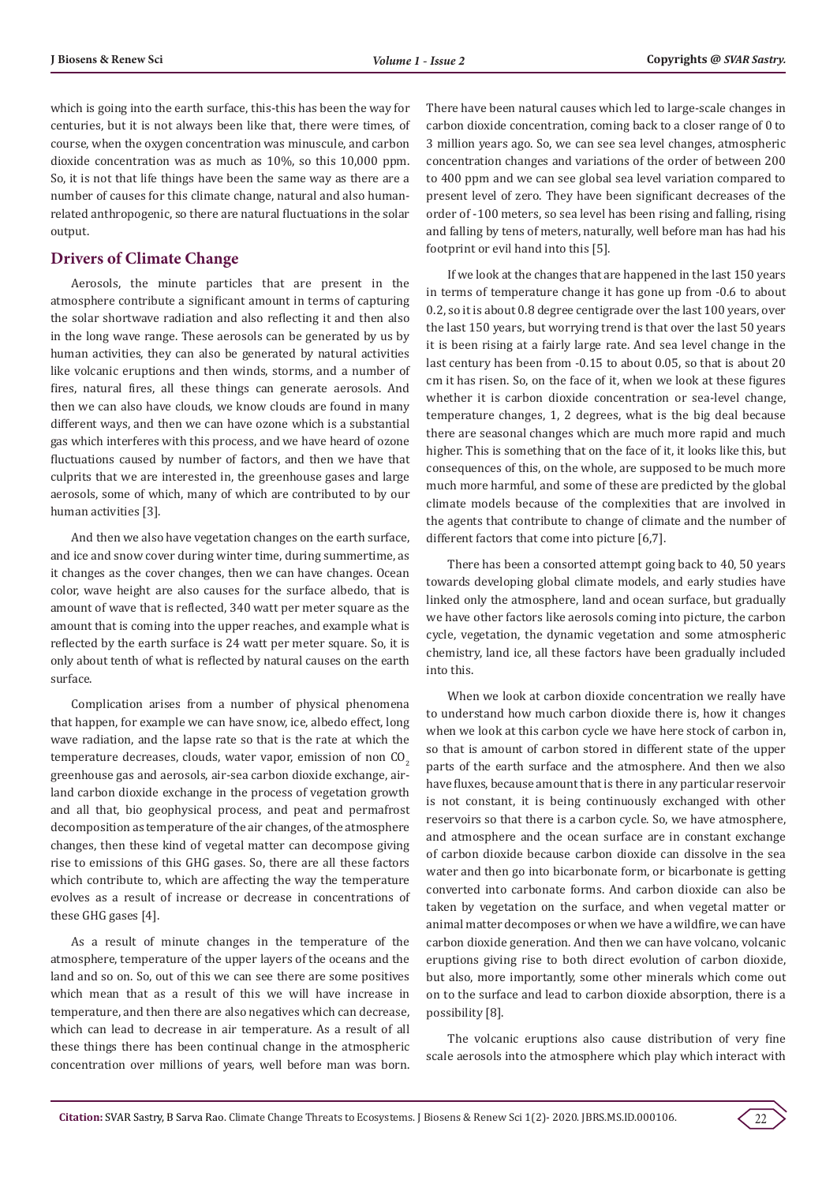which is going into the earth surface, this-this has been the way for centuries, but it is not always been like that, there were times, of course, when the oxygen concentration was minuscule, and carbon dioxide concentration was as much as 10%, so this 10,000 ppm. So, it is not that life things have been the same way as there are a number of causes for this climate change, natural and also humanrelated anthropogenic, so there are natural fluctuations in the solar output.

# **Drivers of Climate Change**

Aerosols, the minute particles that are present in the atmosphere contribute a significant amount in terms of capturing the solar shortwave radiation and also reflecting it and then also in the long wave range. These aerosols can be generated by us by human activities, they can also be generated by natural activities like volcanic eruptions and then winds, storms, and a number of fires, natural fires, all these things can generate aerosols. And then we can also have clouds, we know clouds are found in many different ways, and then we can have ozone which is a substantial gas which interferes with this process, and we have heard of ozone fluctuations caused by number of factors, and then we have that culprits that we are interested in, the greenhouse gases and large aerosols, some of which, many of which are contributed to by our human activities [3].

And then we also have vegetation changes on the earth surface, and ice and snow cover during winter time, during summertime, as it changes as the cover changes, then we can have changes. Ocean color, wave height are also causes for the surface albedo, that is amount of wave that is reflected, 340 watt per meter square as the amount that is coming into the upper reaches, and example what is reflected by the earth surface is 24 watt per meter square. So, it is only about tenth of what is reflected by natural causes on the earth surface.

Complication arises from a number of physical phenomena that happen, for example we can have snow, ice, albedo effect, long wave radiation, and the lapse rate so that is the rate at which the temperature decreases, clouds, water vapor, emission of non  $CO<sub>2</sub>$ greenhouse gas and aerosols, air-sea carbon dioxide exchange, airland carbon dioxide exchange in the process of vegetation growth and all that, bio geophysical process, and peat and permafrost decomposition as temperature of the air changes, of the atmosphere changes, then these kind of vegetal matter can decompose giving rise to emissions of this GHG gases. So, there are all these factors which contribute to, which are affecting the way the temperature evolves as a result of increase or decrease in concentrations of these GHG gases [4].

As a result of minute changes in the temperature of the atmosphere, temperature of the upper layers of the oceans and the land and so on. So, out of this we can see there are some positives which mean that as a result of this we will have increase in temperature, and then there are also negatives which can decrease, which can lead to decrease in air temperature. As a result of all these things there has been continual change in the atmospheric concentration over millions of years, well before man was born. There have been natural causes which led to large-scale changes in carbon dioxide concentration, coming back to a closer range of 0 to 3 million years ago. So, we can see sea level changes, atmospheric concentration changes and variations of the order of between 200 to 400 ppm and we can see global sea level variation compared to present level of zero. They have been significant decreases of the order of -100 meters, so sea level has been rising and falling, rising and falling by tens of meters, naturally, well before man has had his footprint or evil hand into this [5].

If we look at the changes that are happened in the last 150 years in terms of temperature change it has gone up from -0.6 to about 0.2, so it is about 0.8 degree centigrade over the last 100 years, over the last 150 years, but worrying trend is that over the last 50 years it is been rising at a fairly large rate. And sea level change in the last century has been from -0.15 to about 0.05, so that is about 20 cm it has risen. So, on the face of it, when we look at these figures whether it is carbon dioxide concentration or sea-level change, temperature changes, 1, 2 degrees, what is the big deal because there are seasonal changes which are much more rapid and much higher. This is something that on the face of it, it looks like this, but consequences of this, on the whole, are supposed to be much more much more harmful, and some of these are predicted by the global climate models because of the complexities that are involved in the agents that contribute to change of climate and the number of different factors that come into picture [6,7].

There has been a consorted attempt going back to 40, 50 years towards developing global climate models, and early studies have linked only the atmosphere, land and ocean surface, but gradually we have other factors like aerosols coming into picture, the carbon cycle, vegetation, the dynamic vegetation and some atmospheric chemistry, land ice, all these factors have been gradually included into this.

When we look at carbon dioxide concentration we really have to understand how much carbon dioxide there is, how it changes when we look at this carbon cycle we have here stock of carbon in, so that is amount of carbon stored in different state of the upper parts of the earth surface and the atmosphere. And then we also have fluxes, because amount that is there in any particular reservoir is not constant, it is being continuously exchanged with other reservoirs so that there is a carbon cycle. So, we have atmosphere, and atmosphere and the ocean surface are in constant exchange of carbon dioxide because carbon dioxide can dissolve in the sea water and then go into bicarbonate form, or bicarbonate is getting converted into carbonate forms. And carbon dioxide can also be taken by vegetation on the surface, and when vegetal matter or animal matter decomposes or when we have a wildfire, we can have carbon dioxide generation. And then we can have volcano, volcanic eruptions giving rise to both direct evolution of carbon dioxide, but also, more importantly, some other minerals which come out on to the surface and lead to carbon dioxide absorption, there is a possibility [8].

The volcanic eruptions also cause distribution of very fine scale aerosols into the atmosphere which play which interact with